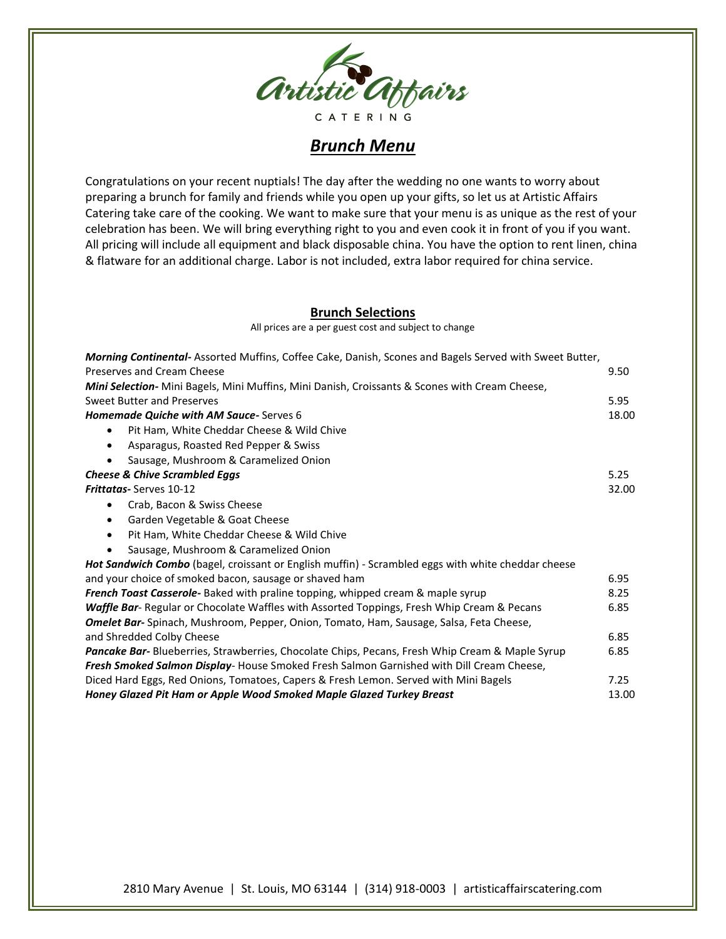

## *Brunch Menu*

Congratulations on your recent nuptials! The day after the wedding no one wants to worry about preparing a brunch for family and friends while you open up your gifts, so let us at Artistic Affairs Catering take care of the cooking. We want to make sure that your menu is as unique as the rest of your celebration has been. We will bring everything right to you and even cook it in front of you if you want. All pricing will include all equipment and black disposable china. You have the option to rent linen, china & flatware for an additional charge. Labor is not included, extra labor required for china service.

## **Brunch Selections**

All prices are a per guest cost and subject to change

| <b>Morning Continental-</b> Assorted Muffins, Coffee Cake, Danish, Scones and Bagels Served with Sweet Butter, |       |
|----------------------------------------------------------------------------------------------------------------|-------|
| Preserves and Cream Cheese                                                                                     | 9.50  |
| <b>Mini Selection-</b> Mini Bagels, Mini Muffins, Mini Danish, Croissants & Scones with Cream Cheese,          |       |
| Sweet Butter and Preserves                                                                                     | 5.95  |
| Homemade Quiche with AM Sauce-Serves 6                                                                         | 18.00 |
| Pit Ham, White Cheddar Cheese & Wild Chive<br>٠                                                                |       |
| Asparagus, Roasted Red Pepper & Swiss<br>٠                                                                     |       |
| Sausage, Mushroom & Caramelized Onion                                                                          |       |
| <b>Cheese &amp; Chive Scrambled Eggs</b>                                                                       | 5.25  |
| Frittatas-Serves 10-12                                                                                         | 32.00 |
| Crab, Bacon & Swiss Cheese<br>٠                                                                                |       |
| Garden Vegetable & Goat Cheese<br>$\bullet$                                                                    |       |
| Pit Ham, White Cheddar Cheese & Wild Chive<br>٠                                                                |       |
| Sausage, Mushroom & Caramelized Onion<br>٠                                                                     |       |
| Hot Sandwich Combo (bagel, croissant or English muffin) - Scrambled eggs with white cheddar cheese             |       |
| and your choice of smoked bacon, sausage or shaved ham                                                         | 6.95  |
| French Toast Casserole- Baked with praline topping, whipped cream & maple syrup                                | 8.25  |
| Waffle Bar- Regular or Chocolate Waffles with Assorted Toppings, Fresh Whip Cream & Pecans                     | 6.85  |
| Omelet Bar- Spinach, Mushroom, Pepper, Onion, Tomato, Ham, Sausage, Salsa, Feta Cheese,                        |       |
| and Shredded Colby Cheese                                                                                      | 6.85  |
| Pancake Bar- Blueberries, Strawberries, Chocolate Chips, Pecans, Fresh Whip Cream & Maple Syrup                | 6.85  |
| Fresh Smoked Salmon Display- House Smoked Fresh Salmon Garnished with Dill Cream Cheese,                       |       |
| Diced Hard Eggs, Red Onions, Tomatoes, Capers & Fresh Lemon. Served with Mini Bagels                           | 7.25  |
| Honey Glazed Pit Ham or Apple Wood Smoked Maple Glazed Turkey Breast                                           | 13.00 |

2810 Mary Avenue | St. Louis, MO 63144 | (314) 918-0003 | artisticaffairscatering.com